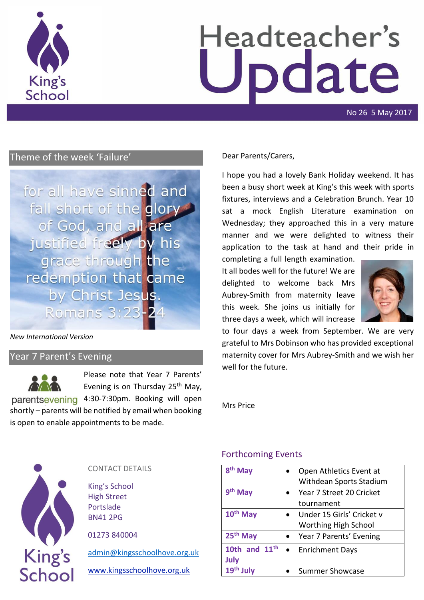

# Headteacher's odate

No 26 5 May 2017

# Theme of the week 'Failure'

for all have sinned and fall short of the glory of God, and all are justified freely by his grace through the redemption that came by Christ Jesus. Romans 3:23-24

#### *New International Version*

#### Year 7 Parent's Evening



Please note that Year 7 Parents' Evening is on Thursday 25<sup>th</sup> May, parentsevening 4:30-7:30pm. Booking will open

shortly – parents will be notified by email when booking is open to enable appointments to be made.

#### Dear Parents/Carers,

I hope you had a lovely Bank Holiday weekend. It has been a busy short week at King's this week with sports fixtures, interviews and a Celebration Brunch. Year 10 sat a mock English Literature examination on Wednesday; they approached this in a very mature manner and we were delighted to witness their application to the task at hand and their pride in

completing a full length examination. It all bodes well for the future! We are delighted to welcome back Mrs Aubrey-Smith from maternity leave this week. She joins us initially for three days a week, which will increase



to four days a week from September. We are very grateful to Mrs Dobinson who has provided exceptional maternity cover for Mrs Aubrey-Smith and we wish her well for the future.

Mrs Price



#### CONTACT DETAILS

King's School High Street Portslade BN41 2PG

01273 840004

[admin@kingsschoolhove.org.uk](mailto:admin@kingsschoolhove.org.uk)

[www.kingsschoolhove.org.uk](http://www.kingsschoolhove.org.uk/)

#### Forthcoming Events

| 8 <sup>th</sup> May  | Open Athletics Event at<br>Withdean Sports Stadium |
|----------------------|----------------------------------------------------|
| 9 <sup>th</sup> May  | Year 7 Street 20 Cricket                           |
|                      | tournament                                         |
| 10 <sup>th</sup> May | Under 15 Girls' Cricket v                          |
|                      | <b>Worthing High School</b>                        |
| 25 <sup>th</sup> May | Year 7 Parents' Evening                            |
| 10th and $11th$      | <b>Enrichment Days</b>                             |
| July                 |                                                    |
| 19 <sup>th</sup>     | <b>Summer Showcase</b>                             |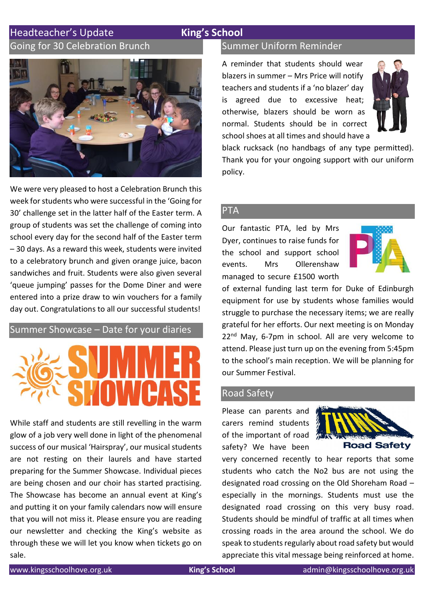# Headteacher's Update **King's School**

# Going for 30 Celebration Brunch



We were very pleased to host a Celebration Brunch this week for students who were successful in the 'Going for 30' challenge set in the latter half of the Easter term. A group of students was set the challenge of coming into school every day for the second half of the Easter term – 30 days. As a reward this week, students were invited to a celebratory brunch and given orange juice, bacon sandwiches and fruit. Students were also given several 'queue jumping' passes for the Dome Diner and were entered into a prize draw to win vouchers for a family day out. Congratulations to all our successful students!

# Summer Showcase – Date for your diaries



While staff and students are still revelling in the warm glow of a job very well done in light of the phenomenal success of our musical 'Hairspray', our musical students are not resting on their laurels and have started preparing for the Summer Showcase. Individual pieces are being chosen and our choir has started practising. The Showcase has become an annual event at King's and putting it on your family calendars now will ensure that you will not miss it. Please ensure you are reading our newsletter and checking the King's website as through these we will let you know when tickets go on sale.

# Summer Uniform Reminder

A reminder that students should wear blazers in summer – Mrs Price will notify teachers and students if a 'no blazer' day is agreed due to excessive heat; otherwise, blazers should be worn as normal. Students should be in correct school shoes at all times and should have a



black rucksack (no handbags of any type permitted). Thank you for your ongoing support with our uniform policy.

#### PTA

Our fantastic PTA, led by Mrs Dyer, continues to raise funds for the school and support school events. Mrs Ollerenshaw managed to secure £1500 worth



of external funding last term for Duke of Edinburgh equipment for use by students whose families would struggle to purchase the necessary items; we are really grateful for her efforts. Our next meeting is on Monday 22<sup>nd</sup> May, 6-7pm in school. All are very welcome to attend. Please just turn up on the evening from 5:45pm to the school's main reception. We will be planning for our Summer Festival.

#### Road Safety

Please can parents and carers remind students of the important of road safety? We have been



very concerned recently to hear reports that some students who catch the No2 bus are not using the designated road crossing on the Old Shoreham Road – especially in the mornings. Students must use the designated road crossing on this very busy road. Students should be mindful of traffic at all times when crossing roads in the area around the school. We do speak to students regularly about road safety but would appreciate this vital message being reinforced at home.